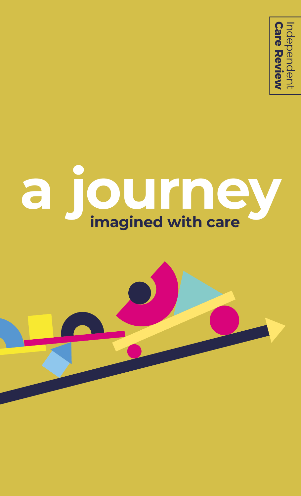

# **a journey imagined with care**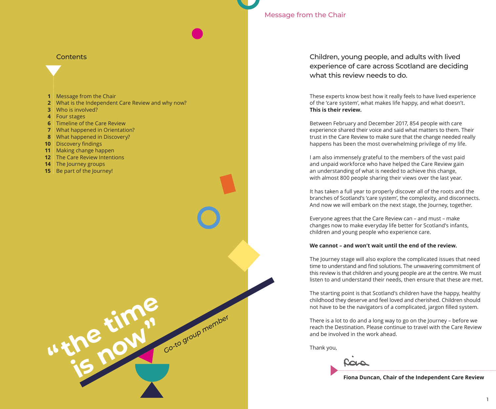# Message from the Chair

### **Contents**

- **1** Message from the Chair
- **2** What is the Independent Care Review and why now?
- **3** Who is involved?
- **4** Four stages
- **6** Timeline of the Care Review
- **7** What happened in Orientation?
- **8** What happened in Discovery?
- **10** Discovery findings
- **11** Making change happen
- **12** The Care Review Intentions

**"the time** 

**is now a** Go-to group member

- **14**  The Journey groups
- **15** Be part of the Journey!

Children, young people, and adults with lived experience of care across Scotland are deciding what this review needs to do.

These experts know best how it really feels to have lived experience of the 'care system', what makes life happy, and what doesn't. **This is their review.**

Between February and December 2017, 854 people with care experience shared their voice and said what matters to them. Their trust in the Care Review to make sure that the change needed really happens has been the most overwhelming privilege of my life.

I am also immensely grateful to the members of the vast paid and unpaid workforce who have helped the Care Review gain an understanding of what is needed to achieve this change, with almost 800 people sharing their views over the last year.

It has taken a full year to properly discover all of the roots and the branches of Scotland's 'care system', the complexity, and disconnects. And now we will embark on the next stage, the Journey, together.

Everyone agrees that the Care Review can – and must – make changes now to make everyday life better for Scotland's infants, children and young people who experience care.

#### **We cannot – and won't wait until the end of the review.**

The Journey stage will also explore the complicated issues that need time to understand and find solutions. The unwavering commitment of this review is that children and young people are at the centre. We must listen to and understand their needs, then ensure that these are met.

The starting point is that Scotland's children have the happy, healthy childhood they deserve and feel loved and cherished. Children should not have to be the navigators of a complicated, jargon filled system.

There is a lot to do and a long way to go on the Journey – before we reach the Destination. Please continue to travel with the Care Review and be involved in the work ahead.

Thank you,

حمات

**Fiona Duncan, Chair of the Independent Care Review**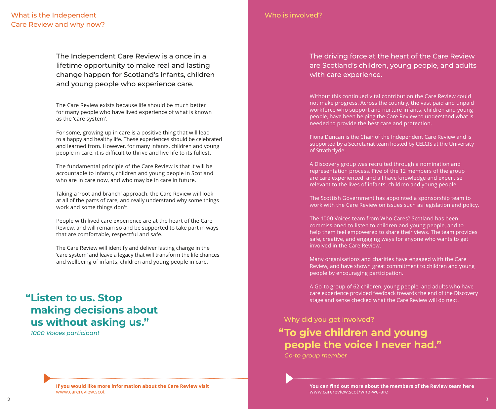# What is the Independent Care Review and why now?

The Independent Care Review is a once in a lifetime opportunity to make real and lasting change happen for Scotland's infants, children and young people who experience care.

The Care Review exists because life should be much better for many people who have lived experience of what is known as the 'care system'.

For some, growing up in care is a positive thing that will lead to a happy and healthy life. These experiences should be celebrated and learned from. However, for many infants, children and young people in care, it is difficult to thrive and live life to its fullest.

The fundamental principle of the Care Review is that it will be accountable to infants, children and young people in Scotland who are in care now, and who may be in care in future.

Taking a 'root and branch' approach, the Care Review will look at all of the parts of care, and really understand why some things work and some things don't.

People with lived care experience are at the heart of the Care Review, and will remain so and be supported to take part in ways that are comfortable, respectful and safe.

The Care Review will identify and deliver lasting change in the 'care system' and leave a legacy that will transform the life chances and wellbeing of infants, children and young people in care.

# **"Listen to us. Stop making decisions about us without asking us."**

*1000 Voices participant*

Who is involved?

The driving force at the heart of the Care Review are Scotland's children, young people, and adults with care experience.

Without this continued vital contribution the Care Review could not make progress. Across the country, the vast paid and unpaid workforce who support and nurture infants, children and young people, have been helping the Care Review to understand what is needed to provide the best care and protection.

Fiona Duncan is the Chair of the Independent Care Review and is supported by a Secretariat team hosted by CELCIS at the University of Strathclyde.

A Discovery group was recruited through a nomination and representation process. Five of the 12 members of the group are care experienced, and all have knowledge and expertise relevant to the lives of infants, children and young people.

The Scottish Government has appointed a sponsorship team to work with the Care Review on issues such as legislation and policy.

The 1000 Voices team from Who Cares? Scotland has been commissioned to listen to children and young people, and to help them feel empowered to share their views. The team provides safe, creative, and engaging ways for anyone who wants to get involved in the Care Review.

Many organisations and charities have engaged with the Care Review, and have shown great commitment to children and young people by encouraging participation.

A Go-to group of 62 children, young people, and adults who have care experience provided feedback towards the end of the Discovery stage and sense checked what the Care Review will do next.

### Why did you get involved?

# **"To give children and young people the voice I never had."**

*Go-to group member*

**If you would like more information about the Care Review visit**  www.carereview.scot

**You can find out more about the members of the Review team here**  www.carereview.scot/who-we-are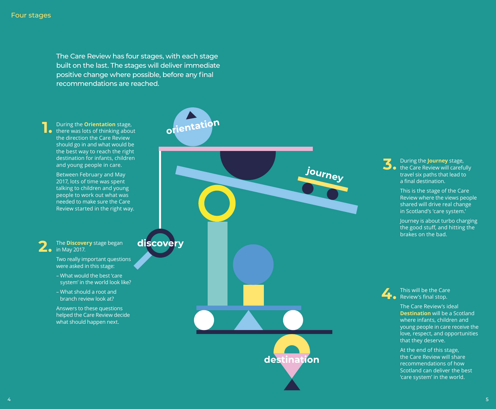The Care Review has four stages, with each stage built on the last. The stages will deliver immediate positive change where possible, before any final recommendations are reached.

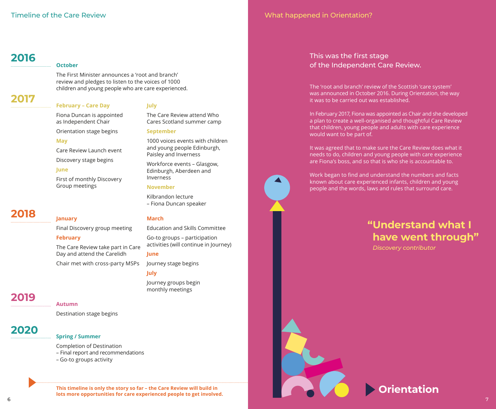# **2016**

### **October**

The First Minister announces a 'root and branch' review and pledges to listen to the voices of 1000 children and young people who are care experienced.

**July**

**September**

Inverness

**March**

**June**

**July**

**November**

Kilbrandon lecture – Fiona Duncan speaker

The Care Review attend Who Cares Scotland summer camp

1000 voices events with children and young people Edinburgh,

Workforce events – Glasgow, Edinburgh, Aberdeen and

Education and Skills Committee

activities (will continue in Journey)

Go-to groups – participation

Paisley and Inverness

# **2017**

# **February – Care Day**

Fiona Duncan is appointed as Independent Chair

Orientation stage begins

### **May**

Care Review Launch event

Discovery stage begins

# **June**

First of monthly Discovery Group meetings

# **2018**

Final Discovery group meeting

# **February**

**January**

The Care Review take part in Care Day and attend the Carelidh

Chair met with cross-party MSPs

Journey groups begin monthly meetings

Journey stage begins

# **2019**

**Autumn**

Destination stage begins

# **2020**

# **Spring / Summer**

Completion of Destination

- Final report and recommendations
- Go-to groups activity

6  $\,$  6  $\,$  7  $\,$  7  $\,$  7  $\,$  7  $\,$  7  $\,$  7  $\,$  7  $\,$  7  $\,$  7  $\,$  7  $\,$  7  $\,$  7  $\,$  7  $\,$  7  $\,$  7  $\,$  7  $\,$  7  $\,$  7  $\,$  7  $\,$  7  $\,$  7  $\,$  7  $\,$  7  $\,$  7  $\,$  7  $\,$  7  $\,$  7  $\,$  7  $\,$  7  $\,$  7  $\$ **This timeline is only the story so far – the Care Review will build in lots more opportunities for care experienced people to get involved.**

# What happened in Orientation?

# This was the first stage of the Independent Care Review.

The 'root and branch' review of the Scottish 'care system' was announced in October 2016. During Orientation, the way it was to be carried out was established.

In February 2017, Fiona was appointed as Chair and she developed a plan to create a well-organised and thoughtful Care Review that children, young people and adults with care experience would want to be part of.

It was agreed that to make sure the Care Review does what it needs to do, children and young people with care experience are Fiona's boss, and so that is who she is accountable to.

Work began to find and understand the numbers and facts known about care experienced infants, children and young people and the words, laws and rules that surround care.

# **"Understand what I have went through"**

*Discovery contributor*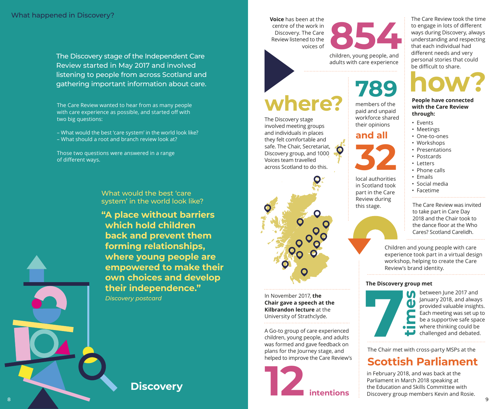The Discovery stage of the Independent Care Review started in May 2017 and involved listening to people from across Scotland and gathering important information about care.

The Care Review wanted to hear from as many people with care experience as possible, and started off with two big questions:

– What would the best 'care system' in the world look like? – What should a root and branch review look at?

Those two questions were answered in a range of different ways.

> What would the best 'care system' in the world look like?

**"A place without barriers which hold children back and prevent them forming relationships, where young people are empowered to make their own choices and develop their independence."** 

*Discovery postcard*

**Discovery** 

**Voice** has been at the centre of the work in Discovery. The Care Review listened to the voices of



# **where?**

The Discovery stage involved meeting groups and individuals in places they felt comfortable and safe. The Chair, Secretariat, Discovery group, and 1000 Voices team travelled across Scotland to do this.



In November 2017, **the Chair gave a speech at the Kilbrandon lecture** at the University of Strathclyde.

A Go-to group of care experienced children, young people, and adults was formed and gave feedback on plans for the Journey stage, and helped to improve the Care Review's



**8544**<br>Children, young people, and

adults with care experience

# **789**

members of the paid and unpaid workforce shared their opinions

**and all**

 $\bullet$ 



local authorities in Scotland took part in the Care Review during this stage.

The Care Review was invited to take part in Care Day 2018 and the Chair took to the dance floor at the Who Cares? Scotland Carelidh.

Children and young people with care experience took part in a virtual design workshop, helping to create the Care Review's brand identity.

### **The Discovery group met**



between June 2017 and January 2018, and always provided valuable insights. Each meeting was set up to be a supportive safe space where thinking could be challenged and debated.

The Chair met with cross-party MSPs at the

# **Scottish Parliament**

in February 2018, and was back at the Parliament in March 2018 speaking at the Education and Skills Committee with Discovery group members Kevin and Rosie.

The Care Review took the time to engage in lots of different ways during Discovery, always understanding and respecting that each individual had different needs and very personal stories that could be difficult to share.

**how?**

**People have connected with the Care Review through:**

- Events
- Meetings
- One-to-ones
- Workshops
- Presentations
- Postcards
- Letters
- Phone calls
- Emails
- Social media
- Facetime

8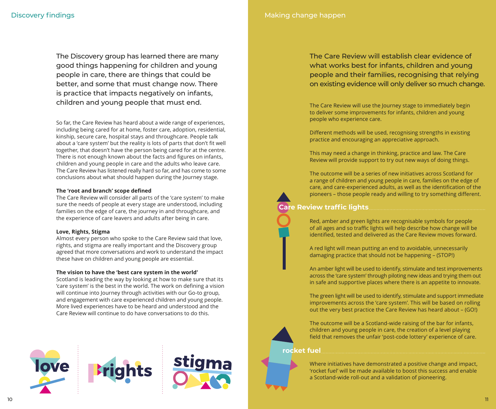The Discovery group has learned there are many good things happening for children and young people in care, there are things that could be better, and some that must change now. There is practice that impacts negatively on infants, children and young people that must end.

So far, the Care Review has heard about a wide range of experiences, including being cared for at home, foster care, adoption, residential, kinship, secure care, hospital stays and throughcare. People talk about a 'care system' but the reality is lots of parts that don't fit well together, that doesn't have the person being cared for at the centre. There is not enough known about the facts and figures on infants, children and young people in care and the adults who leave care. The Care Review has listened really hard so far, and has come to some conclusions about what should happen during the Journey stage.

### **The 'root and branch' scope defined**

The Care Review will consider all parts of the 'care system' to make sure the needs of people at every stage are understood, including families on the edge of care, the journey in and throughcare, and the experience of care leavers and adults after being in care.

### **Love, Rights, Stigma**

Almost every person who spoke to the Care Review said that love, rights, and stigma are really important and the Discovery group agreed that more conversations and work to understand the impact these have on children and young people are essential.

### **The vision to have the 'best care system in the world'**

Scotland is leading the way by looking at how to make sure that its 'care system' is the best in the world. The work on defining a vision will continue into Journey through activities with our Go-to group, and engagement with care experienced children and young people. More lived experiences have to be heard and understood and the Care Review will continue to do have conversations to do this.



Making change happen

# The Care Review will establish clear evidence of what works best for infants, children and young people and their families, recognising that relying on existing evidence will only deliver so much change.

The Care Review will use the Journey stage to immediately begin to deliver some improvements for infants, children and young people who experience care.

Different methods will be used, recognising strengths in existing practice and encouraging an appreciative approach.

This may need a change in thinking, practice and law. The Care Review will provide support to try out new ways of doing things.

The outcome will be a series of new initiatives across Scotland for a range of children and young people in care, families on the edge of care, and care-experienced adults, as well as the identification of the pioneers – those people ready and willing to try something different.

# **Care Review traffic lights**



A red light will mean putting an end to avoidable, unnecessarily damaging practice that should not be happening – (STOP!)

An amber light will be used to identify, stimulate and test improvements across the 'care system' through piloting new ideas and trying them out in safe and supportive places where there is an appetite to innovate.

The green light will be used to identify, stimulate and support immediate improvements across the 'care system'. This will be based on rolling out the very best practice the Care Review has heard about – (GO!)



The outcome will be a Scotland-wide raising of the bar for infants, children and young people in care, the creation of a level playing field that removes the unfair 'post-code lottery' experience of care.

### **rocket fuel**



Where initiatives have demonstrated a positive change and impact, 'rocket fuel' will be made available to boost this success and enable a Scotland-wide roll-out and a validation of pioneering.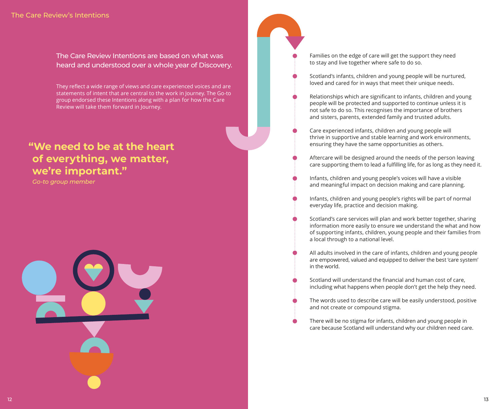The Care Review Intentions are based on what was heard and understood over a whole year of Discovery.

They reflect a wide range of views and care experienced voices and are statements of intent that are central to the work in Journey. The Go-to group endorsed these Intentions along with a plan for how the Care Review will take them forward in Journey.

# **"We need to be at the heart of everything, we matter, we're important."**

*Go-to group member*



Families on the edge of care will get the support they need to stay and live together where safe to do so.

- Scotland's infants, children and young people will be nurtured, loved and cared for in ways that meet their unique needs.
- Relationships which are significant to infants, children and young people will be protected and supported to continue unless it is not safe to do so. This recognises the importance of brothers and sisters, parents, extended family and trusted adults.
- Care experienced infants, children and young people will thrive in supportive and stable learning and work environments, ensuring they have the same opportunities as others.
- Aftercare will be designed around the needs of the person leaving care supporting them to lead a fulfilling life, for as long as they need it.
- Infants, children and young people's voices will have a visible and meaningful impact on decision making and care planning.
- Infants, children and young people's rights will be part of normal everyday life, practice and decision making.
- Scotland's care services will plan and work better together, sharing information more easily to ensure we understand the what and how of supporting infants, children, young people and their families from a local through to a national level.
- All adults involved in the care of infants, children and young people are empowered, valued and equipped to deliver the best 'care system' in the world.
- Scotland will understand the financial and human cost of care, including what happens when people don't get the help they need.
- The words used to describe care will be easily understood, positive and not create or compound stigma.
- There will be no stigma for infants, children and young people in care because Scotland will understand why our children need care.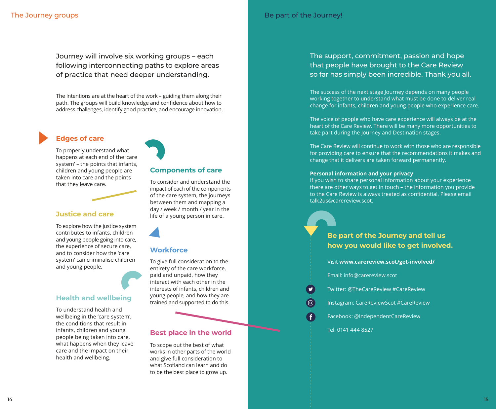Journey will involve six working groups – each following interconnecting paths to explore areas of practice that need deeper understanding.

The Intentions are at the heart of the work – guiding them along their path. The groups will build knowledge and confidence about how to address challenges, identify good practice, and encourage innovation.

# **Edges of care**

To properly understand what happens at each end of the 'care system' – the points that infants, children and young people are taken into care and the points that they leave care.

# **Justice and care**

To explore how the justice system contributes to infants, children and young people going into care, the experience of secure care, and to consider how the 'care system' can criminalise children and young people.

# **Health and wellbeing**

To understand health and wellbeing in the 'care system', the conditions that result in infants, children and young people being taken into care, what happens when they leave care and the impact on their health and wellbeing.

# **Components of care**

To consider and understand the impact of each of the components of the care system, the journeys between them and mapping a day / week / month / year in the life of a young person in care.

# **Workforce**

To give full consideration to the entirety of the care workforce, paid and unpaid, how they interact with each other in the interests of infants, children and young people, and how they are trained and supported to do this.

# **Best place in the world**

To scope out the best of what works in other parts of the world and give full consideration to what Scotland can learn and do to be the best place to grow up.

# The support, commitment, passion and hope that people have brought to the Care Review so far has simply been incredible. Thank you all.

The success of the next stage Journey depends on many people working together to understand what must be done to deliver real change for infants, children and young people who experience care.

The voice of people who have care experience will always be at the heart of the Care Review. There will be many more opportunities to take part during the Journey and Destination stages.

The Care Review will continue to work with those who are responsible for providing care to ensure that the recommendations it makes and change that it delivers are taken forward permanently.

### **Personal information and your privacy**

If you wish to share personal information about your experience there are other ways to get in touch – the information you provide to the Care Review is always treated as confidential. Please email talk2us@carereview.scot.

**Be part of the Journey and tell us how you would like to get involved.**

Visit **www.carereview.scot/get-involved/** 

Email: info@carereview.scot

Twitter: @TheCareReview #CareReview

Instagram: CareReviewScot #CareReview

Facebook: @IndependentCareReview

Tel: 0141 444 8527

 $\boxed{0}$ 

O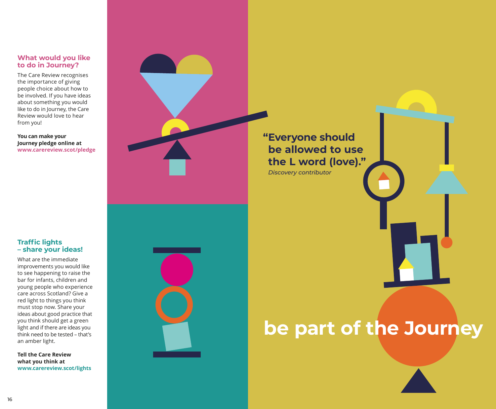# **What would you like to do in Journey?**

The Care Review recognises the importance of giving people choice about how to be involved. If you have ideas about something you would like to do in Journey, the Care Review would love to hear from you!

**You can make your Journey pledge online at www.carereview.scot/pledge**

# **Traffic lights – share your ideas!**

What are the immediate improvements you would like to see happening to raise the bar for infants, children and young people who experience care across Scotland? Give a red light to things you think must stop now. Share your ideas about good practice that you think should get a green light and if there are ideas you think need to be tested – that's an amber light.

**Tell the Care Review what you think at www.carereview.scot/lights**



**"Everyone should be allowed to use the L word (love)."**

*Discovery contributor*

# **be part of the Journey**